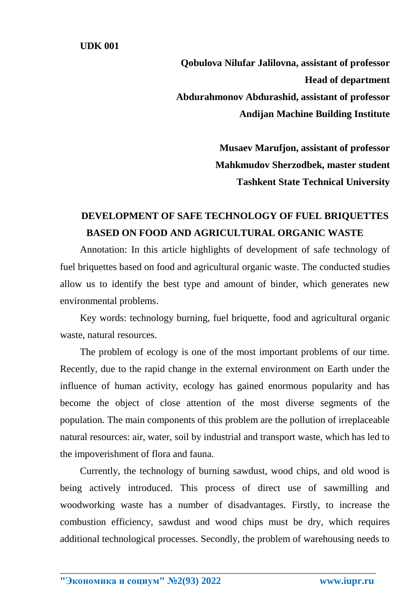**Qobulova Nilufar Jalilovna, assistant of professor Head of department Abdurahmonov Abdurashid, assistant of professor Andijan Machine Building Institute**

> **Musaev Marufjon, assistant of professor Mahkmudov Sherzodbek, master student Tashkent State Technical University**

## **DEVELOPMENT OF SAFE TECHNOLOGY OF FUEL BRIQUETTES BASED ON FOOD AND AGRICULTURAL ORGANIC WASTE**

Annotation: In this article highlights of development of safe technology of fuel briquettes based on food and agricultural organic waste. The conducted studies allow us to identify the best type and amount of binder, which generates new environmental problems.

Key words: technology burning, fuel briquette, food and agricultural organic waste, natural resources.

The problem of ecology is one of the most important problems of our time. Recently, due to the rapid change in the external environment on Earth under the influence of human activity, ecology has gained enormous popularity and has become the object of close attention of the most diverse segments of the population. The main components of this problem are the pollution of irreplaceable natural resources: air, water, soil by industrial and transport waste, which has led to the impoverishment of flora and fauna.

Currently, the technology of burning sawdust, wood chips, and old wood is being actively introduced. This process of direct use of sawmilling and woodworking waste has a number of disadvantages. Firstly, to increase the combustion efficiency, sawdust and wood chips must be dry, which requires additional technological processes. Secondly, the problem of warehousing needs to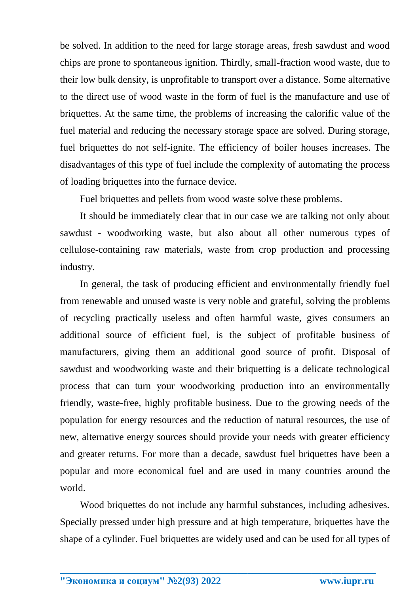be solved. In addition to the need for large storage areas, fresh sawdust and wood chips are prone to spontaneous ignition. Thirdly, small-fraction wood waste, due to their low bulk density, is unprofitable to transport over a distance. Some alternative to the direct use of wood waste in the form of fuel is the manufacture and use of briquettes. At the same time, the problems of increasing the calorific value of the fuel material and reducing the necessary storage space are solved. During storage, fuel briquettes do not self-ignite. The efficiency of boiler houses increases. The disadvantages of this type of fuel include the complexity of automating the process of loading briquettes into the furnace device.

Fuel briquettes and pellets from wood waste solve these problems.

It should be immediately clear that in our case we are talking not only about sawdust - woodworking waste, but also about all other numerous types of cellulose-containing raw materials, waste from crop production and processing industry.

In general, the task of producing efficient and environmentally friendly fuel from renewable and unused waste is very noble and grateful, solving the problems of recycling practically useless and often harmful waste, gives consumers an additional source of efficient fuel, is the subject of profitable business of manufacturers, giving them an additional good source of profit. Disposal of sawdust and woodworking waste and their briquetting is a delicate technological process that can turn your woodworking production into an environmentally friendly, waste-free, highly profitable business. Due to the growing needs of the population for energy resources and the reduction of natural resources, the use of new, alternative energy sources should provide your needs with greater efficiency and greater returns. For more than a decade, sawdust fuel briquettes have been a popular and more economical fuel and are used in many countries around the world.

Wood briquettes do not include any harmful substances, including adhesives. Specially pressed under high pressure and at high temperature, briquettes have the shape of a cylinder. Fuel briquettes are widely used and can be used for all types of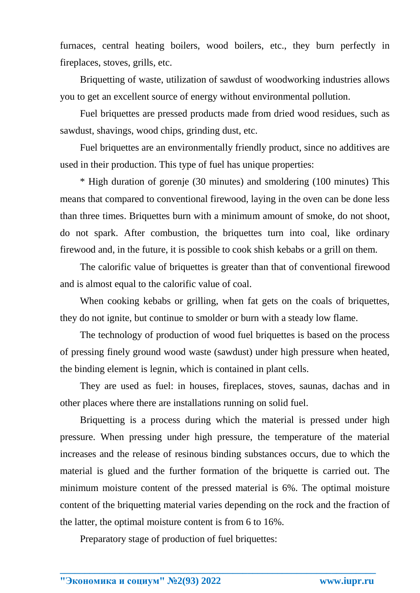furnaces, central heating boilers, wood boilers, etc., they burn perfectly in fireplaces, stoves, grills, etc.

Briquetting of waste, utilization of sawdust of woodworking industries allows you to get an excellent source of energy without environmental pollution.

Fuel briquettes are pressed products made from dried wood residues, such as sawdust, shavings, wood chips, grinding dust, etc.

Fuel briquettes are an environmentally friendly product, since no additives are used in their production. This type of fuel has unique properties:

\* High duration of gorenje (30 minutes) and smoldering (100 minutes) This means that compared to conventional firewood, laying in the oven can be done less than three times. Briquettes burn with a minimum amount of smoke, do not shoot, do not spark. After combustion, the briquettes turn into coal, like ordinary firewood and, in the future, it is possible to cook shish kebabs or a grill on them.

The calorific value of briquettes is greater than that of conventional firewood and is almost equal to the calorific value of coal.

When cooking kebabs or grilling, when fat gets on the coals of briquettes, they do not ignite, but continue to smolder or burn with a steady low flame.

The technology of production of wood fuel briquettes is based on the process of pressing finely ground wood waste (sawdust) under high pressure when heated, the binding element is legnin, which is contained in plant cells.

They are used as fuel: in houses, fireplaces, stoves, saunas, dachas and in other places where there are installations running on solid fuel.

Briquetting is a process during which the material is pressed under high pressure. When pressing under high pressure, the temperature of the material increases and the release of resinous binding substances occurs, due to which the material is glued and the further formation of the briquette is carried out. The minimum moisture content of the pressed material is 6%. The optimal moisture content of the briquetting material varies depending on the rock and the fraction of the latter, the optimal moisture content is from 6 to 16%.

**\_\_\_\_\_\_\_\_\_\_\_\_\_\_\_\_\_\_\_\_\_\_\_\_\_\_\_\_\_\_\_\_\_\_\_\_\_\_\_\_\_\_\_\_\_\_\_\_\_\_\_\_\_\_\_\_\_\_\_\_\_\_\_\_**

Preparatory stage of production of fuel briquettes: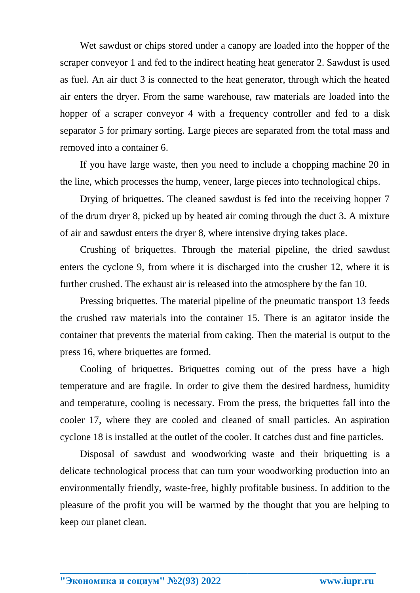Wet sawdust or chips stored under a canopy are loaded into the hopper of the scraper conveyor 1 and fed to the indirect heating heat generator 2. Sawdust is used as fuel. An air duct 3 is connected to the heat generator, through which the heated air enters the dryer. From the same warehouse, raw materials are loaded into the hopper of a scraper conveyor 4 with a frequency controller and fed to a disk separator 5 for primary sorting. Large pieces are separated from the total mass and removed into a container 6.

If you have large waste, then you need to include a chopping machine 20 in the line, which processes the hump, veneer, large pieces into technological chips.

Drying of briquettes. The cleaned sawdust is fed into the receiving hopper 7 of the drum dryer 8, picked up by heated air coming through the duct 3. A mixture of air and sawdust enters the dryer 8, where intensive drying takes place.

Crushing of briquettes. Through the material pipeline, the dried sawdust enters the cyclone 9, from where it is discharged into the crusher 12, where it is further crushed. The exhaust air is released into the atmosphere by the fan 10.

Pressing briquettes. The material pipeline of the pneumatic transport 13 feeds the crushed raw materials into the container 15. There is an agitator inside the container that prevents the material from caking. Then the material is output to the press 16, where briquettes are formed.

Cooling of briquettes. Briquettes coming out of the press have a high temperature and are fragile. In order to give them the desired hardness, humidity and temperature, cooling is necessary. From the press, the briquettes fall into the cooler 17, where they are cooled and cleaned of small particles. An aspiration cyclone 18 is installed at the outlet of the cooler. It catches dust and fine particles.

Disposal of sawdust and woodworking waste and their briquetting is a delicate technological process that can turn your woodworking production into an environmentally friendly, waste-free, highly profitable business. In addition to the pleasure of the profit you will be warmed by the thought that you are helping to keep our planet clean.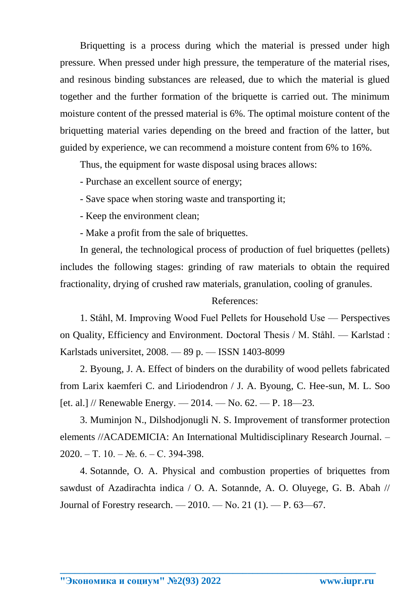Briquetting is a process during which the material is pressed under high pressure. When pressed under high pressure, the temperature of the material rises, and resinous binding substances are released, due to which the material is glued together and the further formation of the briquette is carried out. The minimum moisture content of the pressed material is 6%. The optimal moisture content of the briquetting material varies depending on the breed and fraction of the latter, but guided by experience, we can recommend a moisture content from 6% to 16%.

Thus, the equipment for waste disposal using braces allows:

- Purchase an excellent source of energy;

- Save space when storing waste and transporting it;
- Keep the environment clean;
- Make a profit from the sale of briquettes.

In general, the technological process of production of fuel briquettes (pellets) includes the following stages: grinding of raw materials to obtain the required fractionality, drying of crushed raw materials, granulation, cooling of granules.

## References:

1. Ståhl, M. Improving Wood Fuel Pellets for Household Use — Perspectives on Quality, Efficiency and Environment. Doctoral Thesis / M. Ståhl. — Karlstad : Karlstads universitet, 2008. — 89 p. — ISSN 1403-8099

2. Byoung, J. A. Effect of binders on the durability of wood pellets fabricated from Larix kaemferi C. and Liriodendron / J. A. Byoung, C. Hee-sun, M. L. Soo [et. al.] // Renewable Energy.  $-2014.$  - No. 62. - P. 18-23.

3. Muminjon N., Dilshodjonugli N. S. Improvement of transformer protection elements //ACADEMICIA: An International Multidisciplinary Research Journal. – 2020. – Т. 10. – №. 6. – С. 394-398.

4. Sotannde, O. A. Physical and combustion properties of briquettes from sawdust of Azadirachta indica / O. A. Sotannde, A. O. Oluyege, G. B. Abah // Journal of Forestry research. — 2010. — Nо. 21 (1). — P. 63—67.